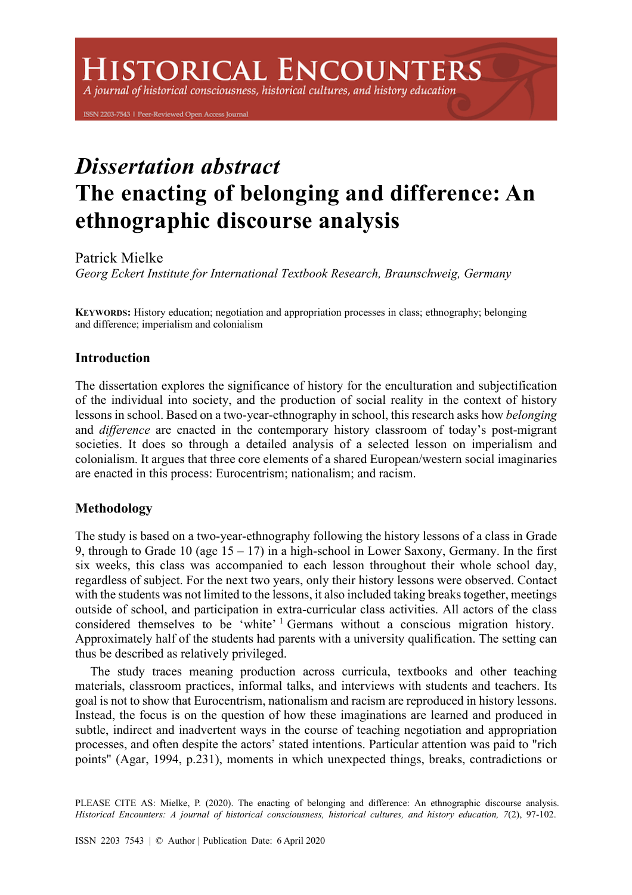# **HISTORICAL ENCOUNTERS**

A journal of historical consciousness, historical cultures, and history education

ISSN 2203-7543 | Peer-Reviewed Open Access Journal

# *Dissertation abstract*  **The enacting of belonging and difference: An ethnographic discourse analysis**

Patrick Mielke

*Georg Eckert Institute for International Textbook Research, Braunschweig, Germany* 

**KEYWORDS:** History education; negotiation and appropriation processes in class; ethnography; belonging and difference; imperialism and colonialism

### **Introduction**

The dissertation explores the significance of history for the enculturation and subjectification of the individual into society, and the production of social reality in the context of history lessons in school. Based on a two-year-ethnography in school, this research asks how *belonging* and *difference* are enacted in the contemporary history classroom of today's post-migrant societies. It does so through a detailed analysis of a selected lesson on imperialism and colonialism. It argues that three core elements of a shared European/western social imaginaries are enacted in this process: Eurocentrism; nationalism; and racism.

## **Methodology**

The study is based on a two-year-ethnography following the history lessons of a class in Grade 9, through to Grade 10 (age  $15 - 17$ ) in a high-school in Lower Saxony, Germany. In the first six weeks, this class was accompanied to each lesson throughout their whole school day, regardless of subject. For the next two years, only their history lessons were observed. Contact with the students was not limited to the lessons, it also included taking breaks together, meetings outside of school, and participation in extra-curricular class activities. All actors of the class considered themselves to be 'white' <sup>1</sup> Germans without a conscious migration history. Approximately half of the students had parents with a university qualification. The setting can thus be described as relatively privileged.

The study traces meaning production across curricula, textbooks and other teaching materials, classroom practices, informal talks, and interviews with students and teachers. Its goal is not to show that Eurocentrism, nationalism and racism are reproduced in history lessons. Instead, the focus is on the question of how these imaginations are learned and produced in subtle, indirect and inadvertent ways in the course of teaching negotiation and appropriation processes, and often despite the actors' stated intentions. Particular attention was paid to "rich points" (Agar, 1994, p.231), moments in which unexpected things, breaks, contradictions or

PLEASE CITE AS: Mielke, P. (2020). The enacting of belonging and difference: An ethnographic discourse analysis. *Historical Encounters: A journal of historical consciousness, historical cultures, and history education, 7*(2), 97-102.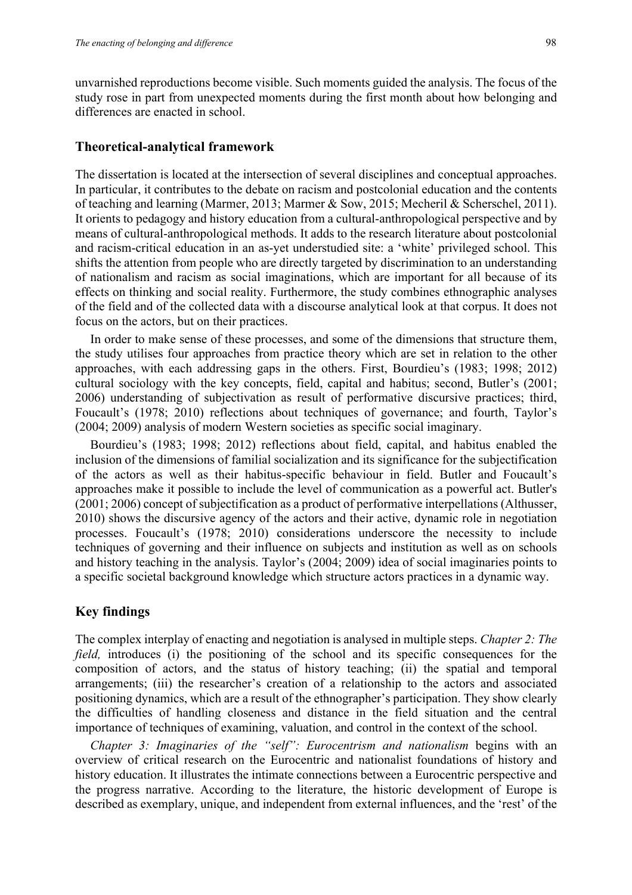unvarnished reproductions become visible. Such moments guided the analysis. The focus of the study rose in part from unexpected moments during the first month about how belonging and differences are enacted in school.

#### **Theoretical-analytical framework**

The dissertation is located at the intersection of several disciplines and conceptual approaches. In particular, it contributes to the debate on racism and postcolonial education and the contents of teaching and learning (Marmer, 2013; Marmer & Sow, 2015; Mecheril & Scherschel, 2011). It orients to pedagogy and history education from a cultural-anthropological perspective and by means of cultural-anthropological methods. It adds to the research literature about postcolonial and racism-critical education in an as-yet understudied site: a 'white' privileged school. This shifts the attention from people who are directly targeted by discrimination to an understanding of nationalism and racism as social imaginations, which are important for all because of its effects on thinking and social reality. Furthermore, the study combines ethnographic analyses of the field and of the collected data with a discourse analytical look at that corpus. It does not focus on the actors, but on their practices.

In order to make sense of these processes, and some of the dimensions that structure them, the study utilises four approaches from practice theory which are set in relation to the other approaches, with each addressing gaps in the others. First, Bourdieu's (1983; 1998; 2012) cultural sociology with the key concepts, field, capital and habitus; second, Butler's (2001; 2006) understanding of subjectivation as result of performative discursive practices; third, Foucault's (1978; 2010) reflections about techniques of governance; and fourth, Taylor's (2004; 2009) analysis of modern Western societies as specific social imaginary.

Bourdieu's (1983; 1998; 2012) reflections about field, capital, and habitus enabled the inclusion of the dimensions of familial socialization and its significance for the subjectification of the actors as well as their habitus-specific behaviour in field. Butler and Foucault's approaches make it possible to include the level of communication as a powerful act. Butler's (2001; 2006) concept of subjectification as a product of performative interpellations (Althusser, 2010) shows the discursive agency of the actors and their active, dynamic role in negotiation processes. Foucault's (1978; 2010) considerations underscore the necessity to include techniques of governing and their influence on subjects and institution as well as on schools and history teaching in the analysis. Taylor's (2004; 2009) idea of social imaginaries points to a specific societal background knowledge which structure actors practices in a dynamic way.

#### **Key findings**

The complex interplay of enacting and negotiation is analysed in multiple steps. *Chapter 2: The field*, introduces (i) the positioning of the school and its specific consequences for the composition of actors, and the status of history teaching; (ii) the spatial and temporal arrangements; (iii) the researcher's creation of a relationship to the actors and associated positioning dynamics, which are a result of the ethnographer's participation. They show clearly the difficulties of handling closeness and distance in the field situation and the central importance of techniques of examining, valuation, and control in the context of the school.

*Chapter 3: Imaginaries of the "self": Eurocentrism and nationalism* begins with an overview of critical research on the Eurocentric and nationalist foundations of history and history education. It illustrates the intimate connections between a Eurocentric perspective and the progress narrative. According to the literature, the historic development of Europe is described as exemplary, unique, and independent from external influences, and the 'rest' of the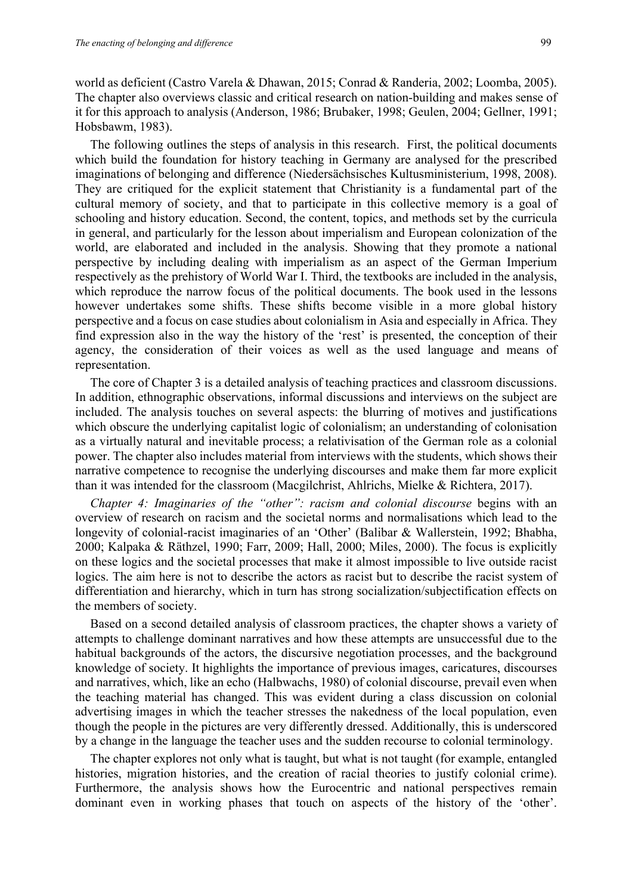world as deficient (Castro Varela & Dhawan, 2015; Conrad & Randeria, 2002; Loomba, 2005). The chapter also overviews classic and critical research on nation-building and makes sense of it for this approach to analysis (Anderson, 1986; Brubaker, 1998; Geulen, 2004; Gellner, 1991; Hobsbawm, 1983).

The following outlines the steps of analysis in this research. First, the political documents which build the foundation for history teaching in Germany are analysed for the prescribed imaginations of belonging and difference (Niedersächsisches Kultusministerium, 1998, 2008). They are critiqued for the explicit statement that Christianity is a fundamental part of the cultural memory of society, and that to participate in this collective memory is a goal of schooling and history education. Second, the content, topics, and methods set by the curricula in general, and particularly for the lesson about imperialism and European colonization of the world, are elaborated and included in the analysis. Showing that they promote a national perspective by including dealing with imperialism as an aspect of the German Imperium respectively as the prehistory of World War I. Third, the textbooks are included in the analysis, which reproduce the narrow focus of the political documents. The book used in the lessons however undertakes some shifts. These shifts become visible in a more global history perspective and a focus on case studies about colonialism in Asia and especially in Africa. They find expression also in the way the history of the 'rest' is presented, the conception of their agency, the consideration of their voices as well as the used language and means of representation.

The core of Chapter 3 is a detailed analysis of teaching practices and classroom discussions. In addition, ethnographic observations, informal discussions and interviews on the subject are included. The analysis touches on several aspects: the blurring of motives and justifications which obscure the underlying capitalist logic of colonialism; an understanding of colonisation as a virtually natural and inevitable process; a relativisation of the German role as a colonial power. The chapter also includes material from interviews with the students, which shows their narrative competence to recognise the underlying discourses and make them far more explicit than it was intended for the classroom (Macgilchrist, Ahlrichs, Mielke & Richtera, 2017).

*Chapter 4: Imaginaries of the "other": racism and colonial discourse* begins with an overview of research on racism and the societal norms and normalisations which lead to the longevity of colonial-racist imaginaries of an 'Other' (Balibar & Wallerstein, 1992; Bhabha, 2000; Kalpaka & Räthzel, 1990; Farr, 2009; Hall, 2000; Miles, 2000). The focus is explicitly on these logics and the societal processes that make it almost impossible to live outside racist logics. The aim here is not to describe the actors as racist but to describe the racist system of differentiation and hierarchy, which in turn has strong socialization/subjectification effects on the members of society.

Based on a second detailed analysis of classroom practices, the chapter shows a variety of attempts to challenge dominant narratives and how these attempts are unsuccessful due to the habitual backgrounds of the actors, the discursive negotiation processes, and the background knowledge of society. It highlights the importance of previous images, caricatures, discourses and narratives, which, like an echo (Halbwachs, 1980) of colonial discourse, prevail even when the teaching material has changed. This was evident during a class discussion on colonial advertising images in which the teacher stresses the nakedness of the local population, even though the people in the pictures are very differently dressed. Additionally, this is underscored by a change in the language the teacher uses and the sudden recourse to colonial terminology.

The chapter explores not only what is taught, but what is not taught (for example, entangled histories, migration histories, and the creation of racial theories to justify colonial crime). Furthermore, the analysis shows how the Eurocentric and national perspectives remain dominant even in working phases that touch on aspects of the history of the 'other'.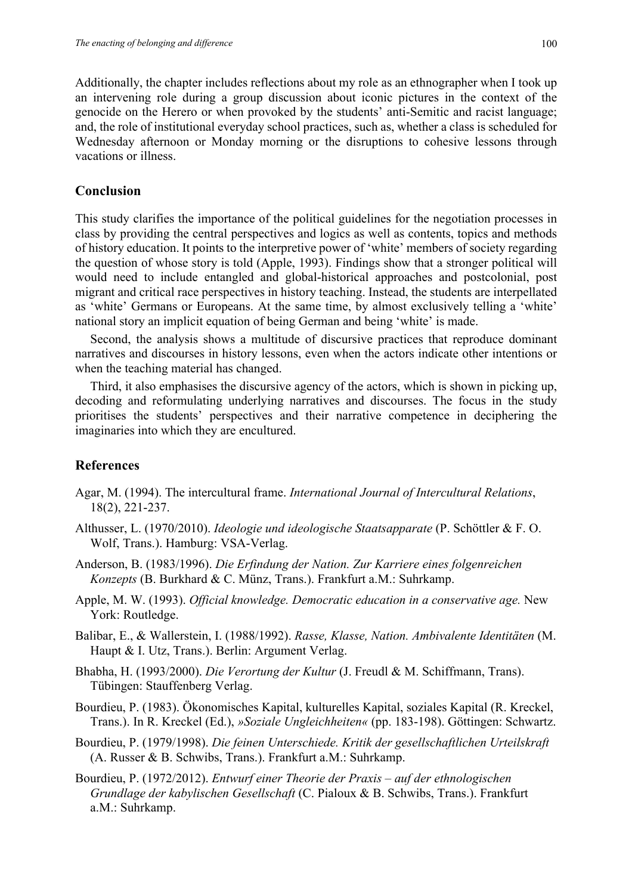Additionally, the chapter includes reflections about my role as an ethnographer when I took up an intervening role during a group discussion about iconic pictures in the context of the genocide on the Herero or when provoked by the students' anti-Semitic and racist language; and, the role of institutional everyday school practices, such as, whether a class is scheduled for Wednesday afternoon or Monday morning or the disruptions to cohesive lessons through vacations or illness.

#### **Conclusion**

This study clarifies the importance of the political guidelines for the negotiation processes in class by providing the central perspectives and logics as well as contents, topics and methods of history education. It points to the interpretive power of 'white' members of society regarding the question of whose story is told (Apple, 1993). Findings show that a stronger political will would need to include entangled and global-historical approaches and postcolonial, post migrant and critical race perspectives in history teaching. Instead, the students are interpellated as 'white' Germans or Europeans. At the same time, by almost exclusively telling a 'white' national story an implicit equation of being German and being 'white' is made.

Second, the analysis shows a multitude of discursive practices that reproduce dominant narratives and discourses in history lessons, even when the actors indicate other intentions or when the teaching material has changed.

Third, it also emphasises the discursive agency of the actors, which is shown in picking up, decoding and reformulating underlying narratives and discourses. The focus in the study prioritises the students' perspectives and their narrative competence in deciphering the imaginaries into which they are encultured.

#### **References**

- Agar, M. (1994). The intercultural frame. *International Journal of Intercultural Relations*, 18(2), 221-237.
- Althusser, L. (1970/2010). *Ideologie und ideologische Staatsapparate* (P. Schöttler & F. O. Wolf, Trans.). Hamburg: VSA-Verlag.
- Anderson, B. (1983/1996). *Die Erfindung der Nation. Zur Karriere eines folgenreichen Konzepts* (B. Burkhard & C. Münz, Trans.). Frankfurt a.M.: Suhrkamp.
- Apple, M. W. (1993). *Official knowledge. Democratic education in a conservative age.* New York: Routledge.
- Balibar, E., & Wallerstein, I. (1988/1992). *Rasse, Klasse, Nation. Ambivalente Identitäten* (M. Haupt & I. Utz, Trans.). Berlin: Argument Verlag.
- Bhabha, H. (1993/2000). *Die Verortung der Kultur* (J. Freudl & M. Schiffmann, Trans). Tübingen: Stauffenberg Verlag.
- Bourdieu, P. (1983). Ökonomisches Kapital, kulturelles Kapital, soziales Kapital (R. Kreckel, Trans.). In R. Kreckel (Ed.), *»Soziale Ungleichheiten«* (pp. 183-198). Göttingen: Schwartz.
- Bourdieu, P. (1979/1998). *Die feinen Unterschiede. Kritik der gesellschaftlichen Urteilskraft* (A. Russer & B. Schwibs, Trans.). Frankfurt a.M.: Suhrkamp.
- Bourdieu, P. (1972/2012). *Entwurf einer Theorie der Praxis – auf der ethnologischen Grundlage der kabylischen Gesellschaft* (C. Pialoux & B. Schwibs, Trans.). Frankfurt a.M.: Suhrkamp.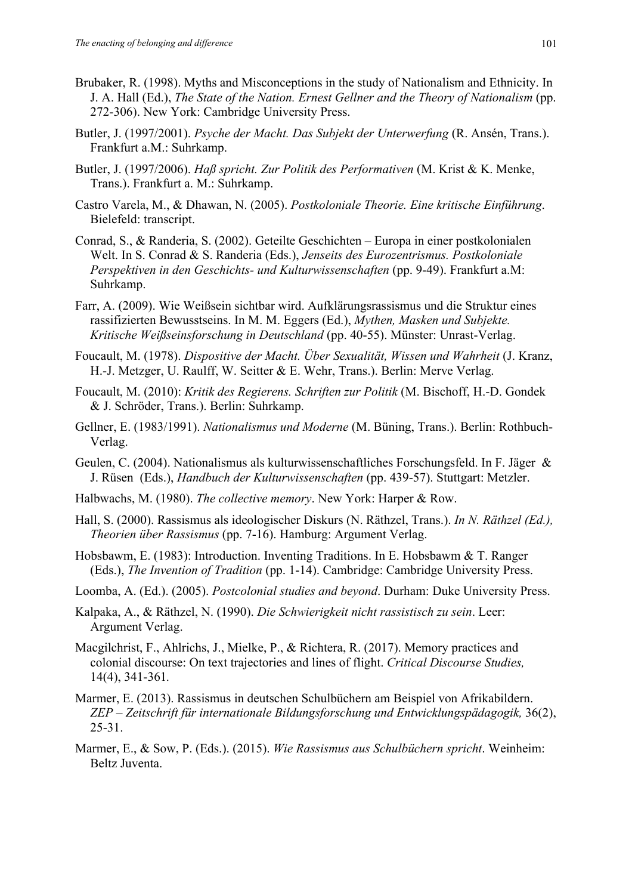- Brubaker, R. (1998). Myths and Misconceptions in the study of Nationalism and Ethnicity. In J. A. Hall (Ed.), *The State of the Nation. Ernest Gellner and the Theory of Nationalism* (pp. 272-306). New York: Cambridge University Press.
- Butler, J. (1997/2001). *Psyche der Macht. Das Subjekt der Unterwerfung* (R. Ansén, Trans.). Frankfurt a.M.: Suhrkamp.
- Butler, J. (1997/2006). *Haß spricht. Zur Politik des Performativen* (M. Krist & K. Menke, Trans.). Frankfurt a. M.: Suhrkamp.
- Castro Varela, M., & Dhawan, N. (2005). *Postkoloniale Theorie. Eine kritische Einführung*. Bielefeld: transcript.
- Conrad, S., & Randeria, S. (2002). Geteilte Geschichten Europa in einer postkolonialen Welt. In S. Conrad & S. Randeria (Eds.), *Jenseits des Eurozentrismus. Postkoloniale Perspektiven in den Geschichts- und Kulturwissenschaften* (pp. 9-49). Frankfurt a.M: Suhrkamp.
- Farr, A. (2009). Wie Weißsein sichtbar wird. Aufklärungsrassismus und die Struktur eines rassifizierten Bewusstseins. In M. M. Eggers (Ed.), *Mythen, Masken und Subjekte. Kritische Weißseinsforschung in Deutschland* (pp. 40-55). Münster: Unrast-Verlag.
- Foucault, M. (1978). *Dispositive der Macht. Über Sexualität, Wissen und Wahrheit* (J. Kranz, H.-J. Metzger, U. Raulff, W. Seitter & E. Wehr, Trans.). Berlin: Merve Verlag.
- Foucault, M. (2010): *Kritik des Regierens. Schriften zur Politik* (M. Bischoff, H.-D. Gondek & J. Schröder, Trans.). Berlin: Suhrkamp.
- Gellner, E. (1983/1991). *Nationalismus und Moderne* (M. Büning, Trans.). Berlin: Rothbuch-Verlag.
- Geulen, C. (2004). Nationalismus als kulturwissenschaftliches Forschungsfeld. In F. Jäger & J. Rüsen (Eds.), *Handbuch der Kulturwissenschaften* (pp. 439-57). Stuttgart: Metzler.
- Halbwachs, M. (1980). *The collective memory*. New York: Harper & Row.
- Hall, S. (2000). Rassismus als ideologischer Diskurs (N. Räthzel, Trans.). *In N. Räthzel (Ed.), Theorien über Rassismus* (pp. 7-16). Hamburg: Argument Verlag.
- Hobsbawm, E. (1983): Introduction. Inventing Traditions. In E. Hobsbawm & T. Ranger (Eds.), *The Invention of Tradition* (pp. 1-14). Cambridge: Cambridge University Press.
- Loomba, A. (Ed.). (2005). *Postcolonial studies and beyond*. Durham: Duke University Press.
- Kalpaka, A., & Räthzel, N. (1990). *Die Schwierigkeit nicht rassistisch zu sein*. Leer: Argument Verlag.
- Macgilchrist, F., Ahlrichs, J., Mielke, P., & Richtera, R. (2017). Memory practices and colonial discourse: On text trajectories and lines of flight. *Critical Discourse Studies,* 14(4), 341-361*.*
- Marmer, E. (2013). Rassismus in deutschen Schulbüchern am Beispiel von Afrikabildern. *ZEP – Zeitschrift für internationale Bildungsforschung und Entwicklungspädagogik,* 36(2), 25-31.
- Marmer, E., & Sow, P. (Eds.). (2015). *Wie Rassismus aus Schulbüchern spricht*. Weinheim: Beltz Juventa.